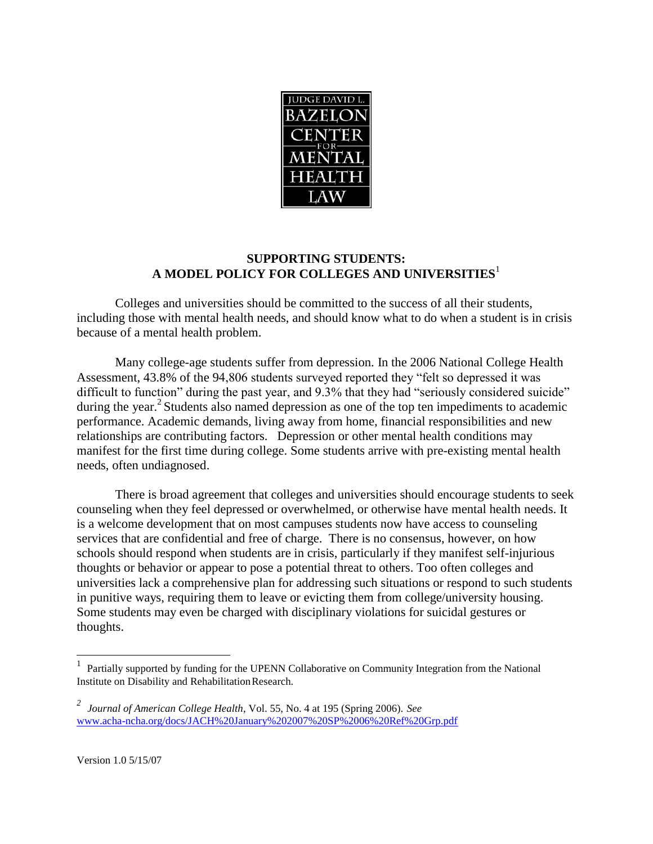

#### **SUPPORTING STUDENTS: A MODEL POLICY FOR COLLEGES AND UNIVERSITIE[S](#page-0-0)**<sup>1</sup>

Colleges and universities should be committed to the success of all their students, including those with mental health needs, and should know what to do when a student is in crisis because of a mental health problem.

Many college-age students suffer from depression. In the 2006 National College Health Assessment, 43.8% of the 94,806 students surveyed reported they "felt so depressed it was difficult to function" during the past year, and 9.3% that they had "seriously considered suicide" during the year.<sup>[2](#page-0-1)</sup> Students also named depression as one of the top ten impediments to academic performance. Academic demands, living away from home, financial responsibilities and new relationships are contributing factors. Depression or other mental health conditions may manifest for the first time during college. Some students arrive with pre-existing mental health needs, often undiagnosed.

There is broad agreement that colleges and universities should encourage students to seek counseling when they feel depressed or overwhelmed, or otherwise have mental health needs. It is a welcome development that on most campuses students now have access to counseling services that are confidential and free of charge. There is no consensus, however, on how schools should respond when students are in crisis, particularly if they manifest self-injurious thoughts or behavior or appear to pose a potential threat to others. Too often colleges and universities lack a comprehensive plan for addressing such situations or respond to such students in punitive ways, requiring them to leave or evicting them from college/university housing. Some students may even be charged with disciplinary violations for suicidal gestures or thoughts.

<span id="page-0-0"></span><sup>&</sup>lt;sup>1</sup> Partially supported by funding for the UPENN Collaborative on Community Integration from the National Institute on Disability and RehabilitationResearch.

<span id="page-0-1"></span>*<sup>2</sup> Journal of American College Health*, Vol. 55, No. 4 at 195 (Spring 2006). *See* [www.acha-ncha.org/docs/JACH%20January%202007%20SP%2006%20Ref%20Grp.pdf](http://www.acha-ncha.org/docs/JACH%20January%202007%20SP%2006%20Ref%20Grp.pdf)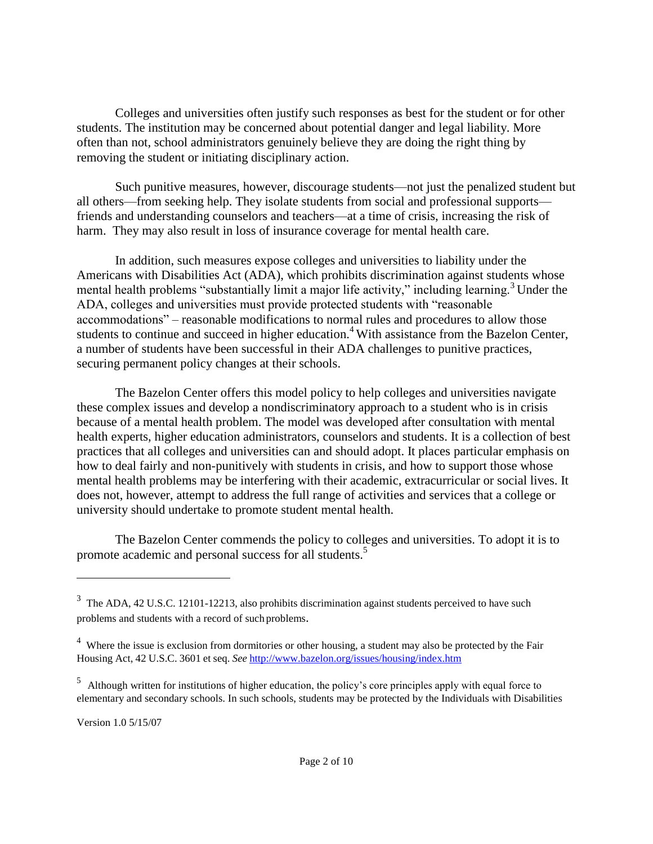Colleges and universities often justify such responses as best for the student or for other students. The institution may be concerned about potential danger and legal liability. More often than not, school administrators genuinely believe they are doing the right thing by removing the student or initiating disciplinary action.

Such punitive measures, however, discourage students—not just the penalized student but all others—from seeking help. They isolate students from social and professional supports friends and understanding counselors and teachers—at a time of crisis, increasing the risk of harm. They may also result in loss of insurance coverage for mental health care.

In addition, such measures expose colleges and universities to liability under the Americans with Disabilities Act (ADA), which prohibits discrimination against students whose mental health problems "substantially limit a major life activity," including learning[.](#page-1-0)<sup>3</sup> Under the ADA, colleges and universities must provide protected students with "reasonable accommodations" – reasonable modifications to normal rules and procedures to allow those students to continue and succeed in higher education.<sup>[4](#page-1-1)</sup> With assistance from the Bazelon Center, a number of students have been successful in their ADA challenges to punitive practices, securing permanent policy changes at their schools.

The Bazelon Center offers this model policy to help colleges and universities navigate these complex issues and develop a nondiscriminatory approach to a student who is in crisis because of a mental health problem. The model was developed after consultation with mental health experts, higher education administrators, counselors and students. It is a collection of best practices that all colleges and universities can and should adopt. It places particular emphasis on how to deal fairly and non-punitively with students in crisis, and how to support those whose mental health problems may be interfering with their academic, extracurricular or social lives. It does not, however, attempt to address the full range of activities and services that a college or university should undertake to promote student mental health.

The Bazelon Center commends the policy to colleges and universities. To adopt it is to promote academic and personal success for all students[.](#page-1-2)<sup>5</sup>

<span id="page-1-0"></span> $3$  The ADA, 42 U.S.C. 12101-12213, also prohibits discrimination against students perceived to have such problems and students with a record of such problems.

<span id="page-1-1"></span> $4$  Where the issue is exclusion from dormitories or other housing, a student may also be protected by the Fair Housing Act, 42 U.S.C. 3601 et seq. *See* <http://www.bazelon.org/issues/housing/index.htm>

<span id="page-1-2"></span><sup>&</sup>lt;sup>5</sup> Although written for institutions of higher education, the policy's core principles apply with equal force to elementary and secondary schools. In such schools, students may be protected by the Individuals with Disabilities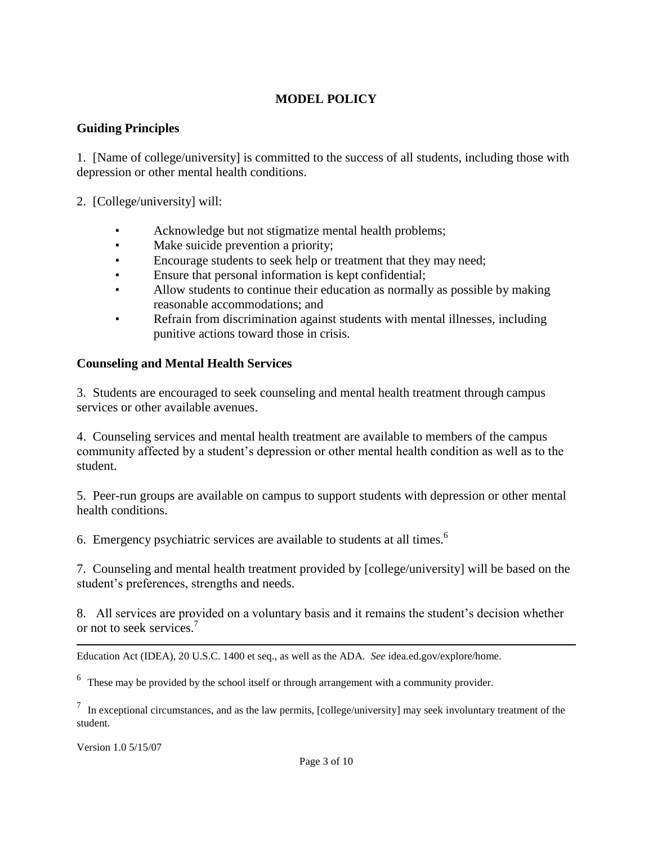## **MODEL POLICY**

#### **Guiding Principles**

1. [Name of college/university] is committed to the success of all students, including those with depression or other mental health conditions.

2. [College/university] will:

- Acknowledge but not stigmatize mental health problems;
- Make suicide prevention a priority;
- Encourage students to seek help or treatment that they may need;
- Ensure that personal information is kept confidential;
- Allow students to continue their education as normally as possible by making reasonable accommodations; and
- Refrain from discrimination against students with mental illnesses, including punitive actions toward those in crisis.

### **Counseling and Mental Health Services**

3. Students are encouraged to seek counseling and mental health treatment through campus services or other available avenues.

4. Counseling services and mental health treatment are available to members of the campus community affected by a student's depression or other mental health condition as well as to the student.

5. Peer-run groups are available on campus to support students with depression or other mental health conditions.

[6](#page-2-0). Emergency psychiatric services are available to students at all times.<sup>6</sup>

7. Counseling and mental health treatment provided by [college/university] will be based on the student's preferences, strengths and needs.

8. All services are provided on a voluntary basis and it remains the student's decision whether or not to seek services.[7](#page-2-1)

Education Act (IDEA), 20 U.S.C. 1400 et seq., as well as the ADA. *See* idea.ed.gov/explore/home.

<span id="page-2-0"></span> $6\text{$  These may be provided by the school itself or through arrangement with a community provider.

<span id="page-2-1"></span> $<sup>7</sup>$  In exceptional circumstances, and as the law permits, [college/university] may seek involuntary treatment of the</sup> student.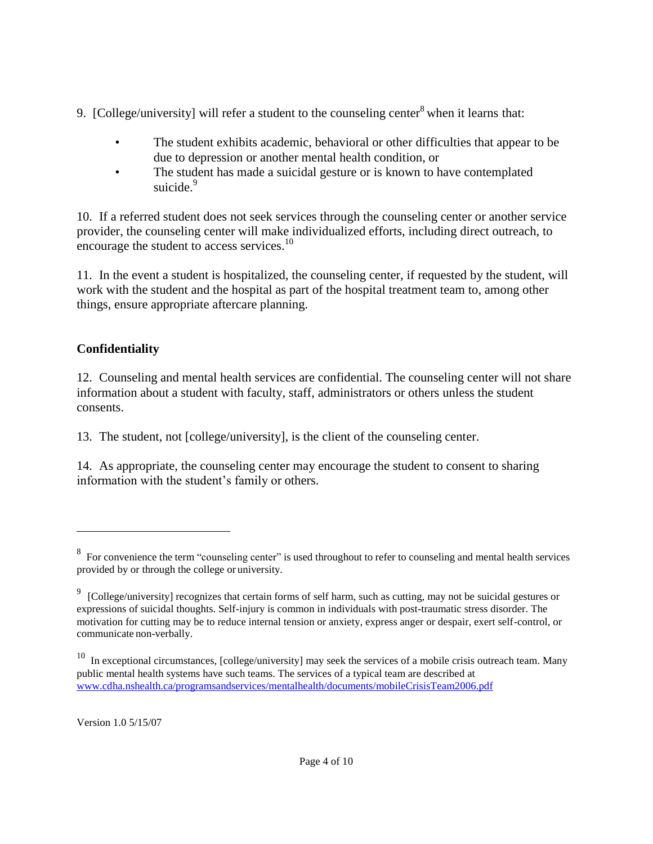- 9. [College/university] will refer a student to the counseling center<sup>[8](#page-3-0)</sup> when it learns that:
	- The student exhibits academic, behavioral or other difficulties that appear to be due to depression or another mental health condition, or
	- The student has made a suicidal gesture or is known to have contemplated suicide.<sup>[9](#page-3-1)</sup>

10. If a referred student does not seek services through the counseling center or another service provider, the counseling center will make individualized efforts, including direct outreach, to encourage the student to access services.<sup>[10](#page-3-2)</sup>

11. In the event a student is hospitalized, the counseling center, if requested by the student, will work with the student and the hospital as part of the hospital treatment team to, among other things, ensure appropriate aftercare planning.

# **Confidentiality**

12. Counseling and mental health services are confidential. The counseling center will not share information about a student with faculty, staff, administrators or others unless the student consents.

13. The student, not [college/university], is the client of the counseling center.

14. As appropriate, the counseling center may encourage the student to consent to sharing information with the student's family or others.

<span id="page-3-0"></span> $8\degree$  For convenience the term "counseling center" is used throughout to refer to counseling and mental health services provided by or through the college or university.

<span id="page-3-1"></span><sup>&</sup>lt;sup>9</sup> [College/university] recognizes that certain forms of self harm, such as cutting, may not be suicidal gestures or expressions of suicidal thoughts. Self-injury is common in individuals with post-traumatic stress disorder. The motivation for cutting may be to reduce internal tension or anxiety, express anger or despair, exert self-control, or communicate non-verbally.

<span id="page-3-2"></span> $10$  In exceptional circumstances, [college/university] may seek the services of a mobile crisis outreach team. Many public mental health systems have such teams. The services of a typical team are described at [www.cdha.nshealth.ca/programsandservices/mentalhealth/documents/mobileCrisisTeam2006.pdf](http://www.cdha.nshealth.ca/programsandservices/mentalhealth/documents/mobileCrisisTeam2006.pdf)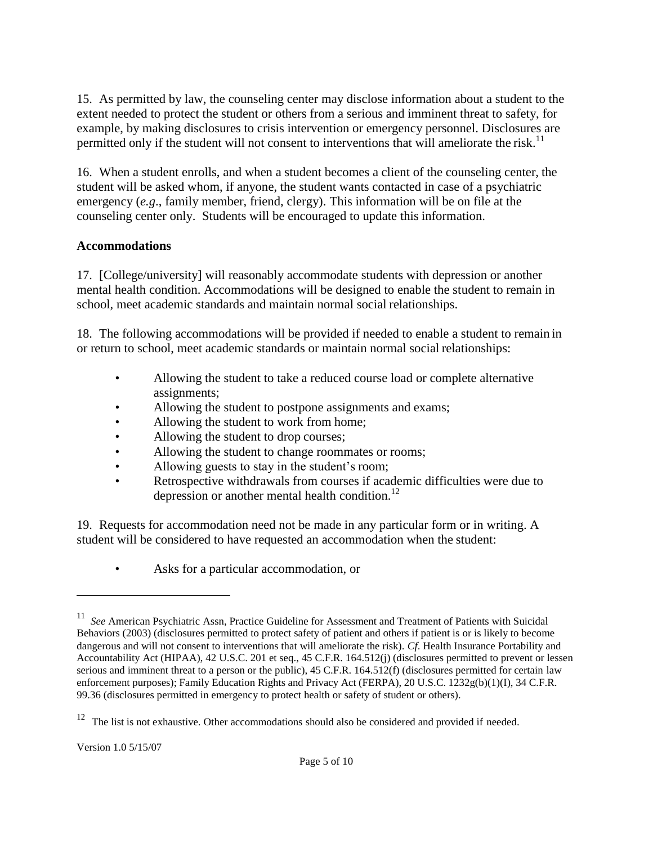15. As permitted by law, the counseling center may disclose information about a student to the extent needed to protect the student or others from a serious and imminent threat to safety, for example, by making disclosures to crisis intervention or emergency personnel. Disclosures are permitted only if the student will not consent to interventions that will ameliorate the risk.<sup>[11](#page-4-0)</sup>

16. When a student enrolls, and when a student becomes a client of the counseling center, the student will be asked whom, if anyone, the student wants contacted in case of a psychiatric emergency (*e.g*., family member, friend, clergy). This information will be on file at the counseling center only. Students will be encouraged to update this information.

### **Accommodations**

17. [College/university] will reasonably accommodate students with depression or another mental health condition. Accommodations will be designed to enable the student to remain in school, meet academic standards and maintain normal social relationships.

18. The following accommodations will be provided if needed to enable a student to remain in or return to school, meet academic standards or maintain normal social relationships:

- Allowing the student to take a reduced course load or complete alternative assignments;
- Allowing the student to postpone assignments and exams;
- Allowing the student to work from home:
- Allowing the student to drop courses;
- Allowing the student to change roommates or rooms;
- Allowing guests to stay in the student's room;
- Retrospective withdrawals from courses if academic difficulties were due to depression or another mental health condition.<sup>[12](#page-4-1)</sup>

19. Requests for accommodation need not be made in any particular form or in writing. A student will be considered to have requested an accommodation when the student:

• Asks for a particular accommodation, or

<span id="page-4-0"></span><sup>11</sup> *See* American Psychiatric Assn, Practice Guideline for Assessment and Treatment of Patients with Suicidal Behaviors (2003) (disclosures permitted to protect safety of patient and others if patient is or is likely to become dangerous and will not consent to interventions that will ameliorate the risk). *Cf*. Health Insurance Portability and Accountability Act (HIPAA), 42 U.S.C. 201 et seq., 45 C.F.R. 164.512(j) (disclosures permitted to prevent or lessen serious and imminent threat to a person or the public), 45 C.F.R. 164.512(f) (disclosures permitted for certain law enforcement purposes); Family Education Rights and Privacy Act (FERPA), 20 U.S.C. 1232g(b)(1)(I), 34 C.F.R. 99.36 (disclosures permitted in emergency to protect health or safety of student or others).

<span id="page-4-1"></span> $12$  The list is not exhaustive. Other accommodations should also be considered and provided if needed.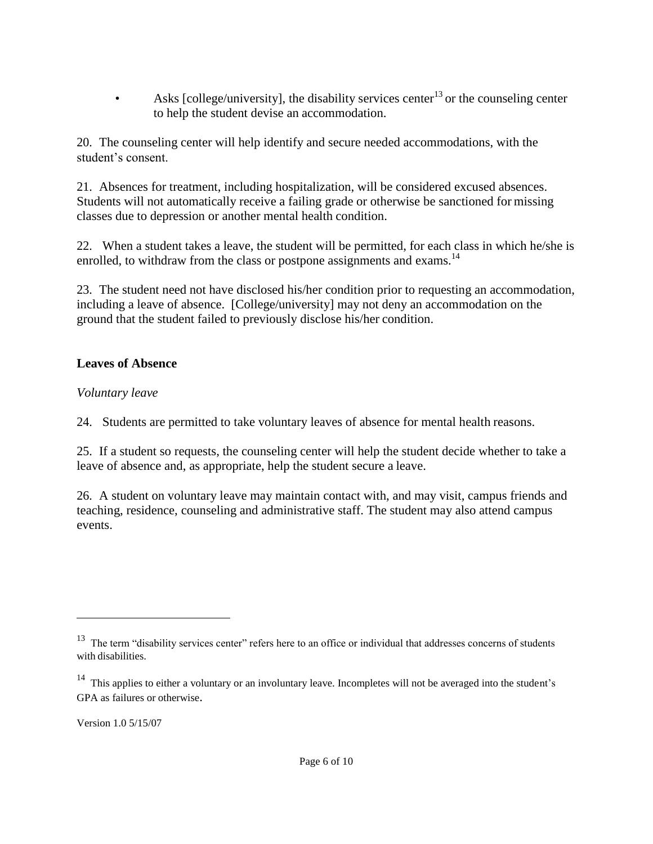• Asks [college/university], the disability services center<sup>[13](#page-5-0)</sup> or the counseling center to help the student devise an accommodation.

20. The counseling center will help identify and secure needed accommodations, with the student's consent.

21. Absences for treatment, including hospitalization, will be considered excused absences. Students will not automatically receive a failing grade or otherwise be sanctioned for missing classes due to depression or another mental health condition.

22. When a student takes a leave, the student will be permitted, for each class in which he/she is enrolled, to withdraw from the class or postpone assignments and exams.<sup>[14](#page-5-1)</sup>

23. The student need not have disclosed his/her condition prior to requesting an accommodation, including a leave of absence. [College/university] may not deny an accommodation on the ground that the student failed to previously disclose his/her condition.

### **Leaves of Absence**

### *Voluntary leave*

24. Students are permitted to take voluntary leaves of absence for mental health reasons.

25. If a student so requests, the counseling center will help the student decide whether to take a leave of absence and, as appropriate, help the student secure a leave.

26. A student on voluntary leave may maintain contact with, and may visit, campus friends and teaching, residence, counseling and administrative staff. The student may also attend campus events.

<span id="page-5-0"></span><sup>&</sup>lt;sup>13</sup> The term "disability services center" refers here to an office or individual that addresses concerns of students with disabilities.

<span id="page-5-1"></span> $14$  This applies to either a voluntary or an involuntary leave. Incompletes will not be averaged into the student's GPA as failures or otherwise.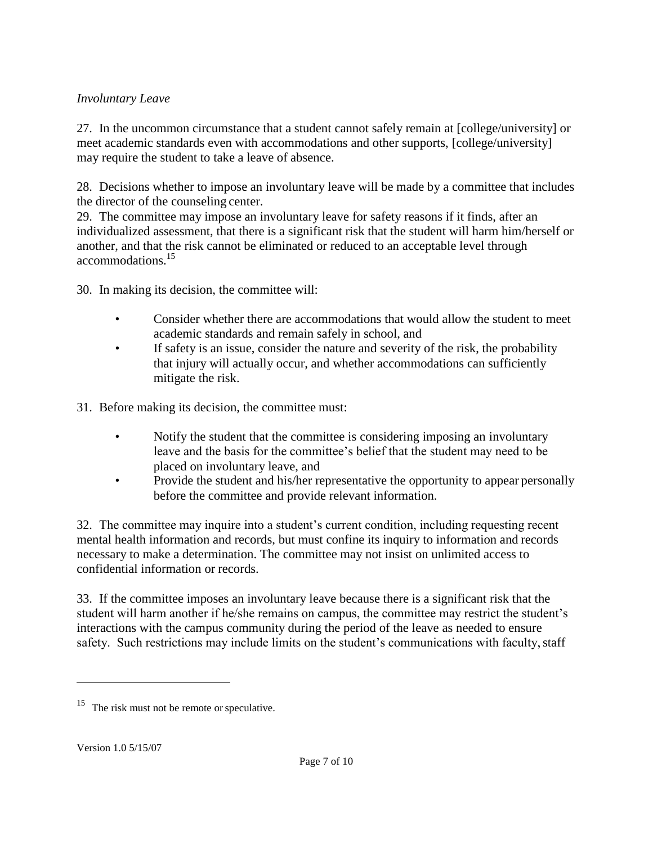## *Involuntary Leave*

27. In the uncommon circumstance that a student cannot safely remain at [college/university] or meet academic standards even with accommodations and other supports, [college/university] may require the student to take a leave of absence.

28. Decisions whether to impose an involuntary leave will be made by a committee that includes the director of the counseling center.

29. The committee may impose an involuntary leave for safety reasons if it finds, after an individualized assessment, that there is a significant risk that the student will harm him/herself or another, and that the risk cannot be eliminated or reduced to an acceptable level through accommodations.[15](#page-6-0)

30. In making its decision, the committee will:

- Consider whether there are accommodations that would allow the student to meet academic standards and remain safely in school, and
- If safety is an issue, consider the nature and severity of the risk, the probability that injury will actually occur, and whether accommodations can sufficiently mitigate the risk.

31. Before making its decision, the committee must:

- Notify the student that the committee is considering imposing an involuntary leave and the basis for the committee's belief that the student may need to be placed on involuntary leave, and
- Provide the student and his/her representative the opportunity to appear personally before the committee and provide relevant information.

32. The committee may inquire into a student's current condition, including requesting recent mental health information and records, but must confine its inquiry to information and records necessary to make a determination. The committee may not insist on unlimited access to confidential information or records.

33. If the committee imposes an involuntary leave because there is a significant risk that the student will harm another if he/she remains on campus, the committee may restrict the student's interactions with the campus community during the period of the leave as needed to ensure safety. Such restrictions may include limits on the student's communications with faculty, staff

<span id="page-6-0"></span><sup>&</sup>lt;sup>15</sup> The risk must not be remote or speculative.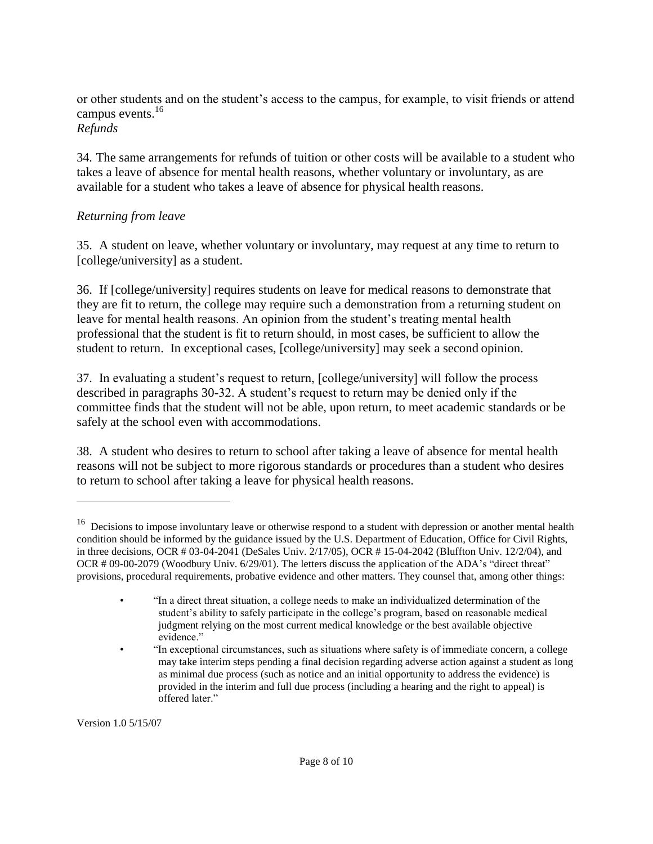or other students and on the student's access to the campus, for example, to visit friends or attend campus events.<sup>[16](#page-7-0)</sup>

# *Refunds*

34. The same arrangements for refunds of tuition or other costs will be available to a student who takes a leave of absence for mental health reasons, whether voluntary or involuntary, as are available for a student who takes a leave of absence for physical health reasons.

# *Returning from leave*

35. A student on leave, whether voluntary or involuntary, may request at any time to return to [college/university] as a student.

36. If [college/university] requires students on leave for medical reasons to demonstrate that they are fit to return, the college may require such a demonstration from a returning student on leave for mental health reasons. An opinion from the student's treating mental health professional that the student is fit to return should, in most cases, be sufficient to allow the student to return. In exceptional cases, [college/university] may seek a second opinion.

37. In evaluating a student's request to return, [college/university] will follow the process described in paragraphs 30-32. A student's request to return may be denied only if the committee finds that the student will not be able, upon return, to meet academic standards or be safely at the school even with accommodations.

38. A student who desires to return to school after taking a leave of absence for mental health reasons will not be subject to more rigorous standards or procedures than a student who desires to return to school after taking a leave for physical health reasons.

<span id="page-7-0"></span><sup>16</sup> Decisions to impose involuntary leave or otherwise respond to a student with depression or another mental health condition should be informed by the guidance issued by the U.S. Department of Education, Office for Civil Rights, in three decisions, OCR # 03-04-2041 (DeSales Univ. 2/17/05), OCR # 15-04-2042 (Bluffton Univ. 12/2/04), and OCR # 09-00-2079 (Woodbury Univ. 6/29/01). The letters discuss the application of the ADA's "direct threat" provisions, procedural requirements, probative evidence and other matters. They counsel that, among other things:

<sup>•</sup> "In a direct threat situation, a college needs to make an individualized determination of the student's ability to safely participate in the college's program, based on reasonable medical judgment relying on the most current medical knowledge or the best available objective evidence."

<sup>•</sup> "In exceptional circumstances, such as situations where safety is of immediate concern, a college may take interim steps pending a final decision regarding adverse action against a student as long as minimal due process (such as notice and an initial opportunity to address the evidence) is provided in the interim and full due process (including a hearing and the right to appeal) is offered later."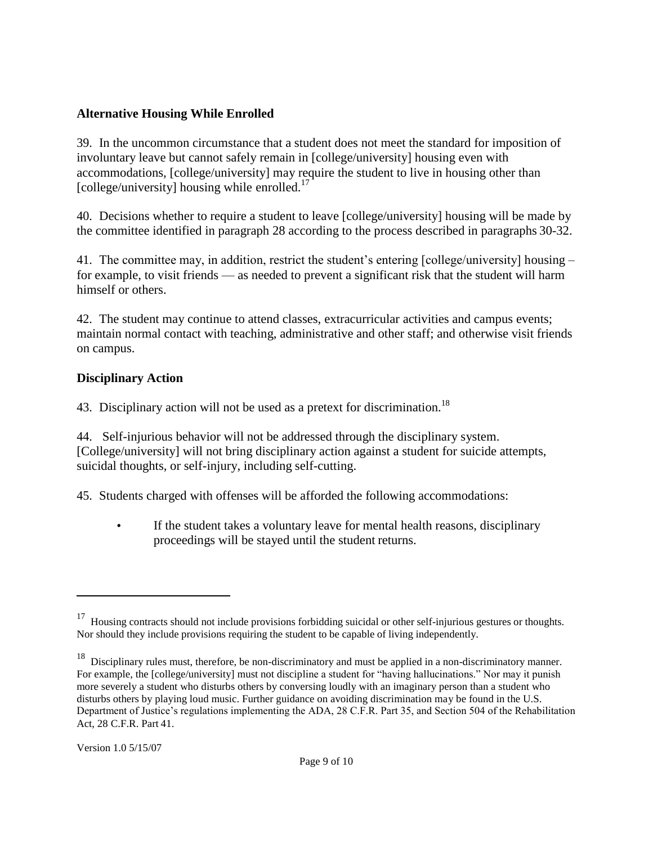### **Alternative Housing While Enrolled**

39. In the uncommon circumstance that a student does not meet the standard for imposition of involuntary leave but cannot safely remain in [college/university] housing even with accommodations, [college/university] may require the student to live in housing other than [college/university] housing while enrolled. $17$ 

40. Decisions whether to require a student to leave [college/university] housing will be made by the committee identified in paragraph 28 according to the process described in paragraphs 30-32.

41. The committee may, in addition, restrict the student's entering [college/university] housing – for example, to visit friends — as needed to prevent a significant risk that the student will harm himself or others.

42. The student may continue to attend classes, extracurricular activities and campus events; maintain normal contact with teaching, administrative and other staff; and otherwise visit friends on campus.

#### **Disciplinary Action**

43. Disciplinary action will not be used as a pretext for discrimination.<sup>[18](#page-8-1)</sup>

44. Self-injurious behavior will not be addressed through the disciplinary system. [College/university] will not bring disciplinary action against a student for suicide attempts, suicidal thoughts, or self-injury, including self-cutting.

45. Students charged with offenses will be afforded the following accommodations:

• If the student takes a voluntary leave for mental health reasons, disciplinary proceedings will be stayed until the student returns.

<span id="page-8-0"></span><sup>&</sup>lt;sup>17</sup> Housing contracts should not include provisions forbidding suicidal or other self-injurious gestures or thoughts. Nor should they include provisions requiring the student to be capable of living independently.

<span id="page-8-1"></span><sup>&</sup>lt;sup>18</sup> Disciplinary rules must, therefore, be non-discriminatory and must be applied in a non-discriminatory manner. For example, the [college/university] must not discipline a student for "having hallucinations." Nor may it punish more severely a student who disturbs others by conversing loudly with an imaginary person than a student who disturbs others by playing loud music. Further guidance on avoiding discrimination may be found in the U.S. Department of Justice's regulations implementing the ADA, 28 C.F.R. Part 35, and Section 504 of the Rehabilitation Act, 28 C.F.R. Part 41.